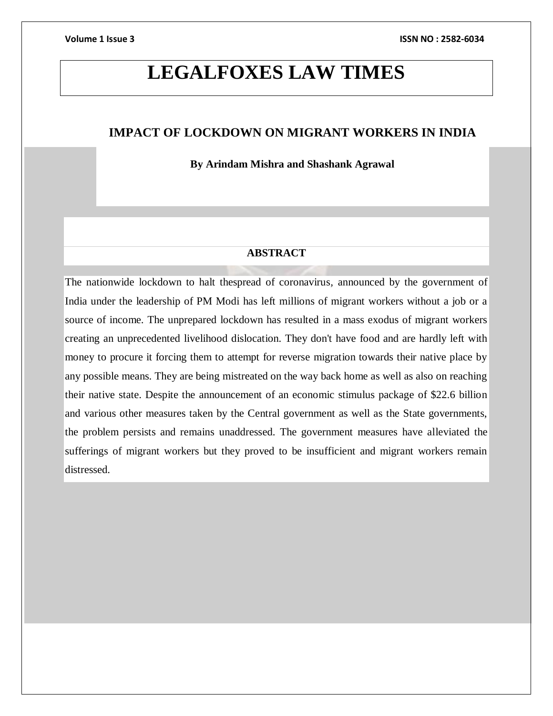# **LEGALFOXES LAW TIMES**

# **IMPACT OF LOCKDOWN ON MIGRANT WORKERS IN INDIA**

**By Arindam Mishra and Shashank Agrawal**

# **ABSTRACT**

The nationwide lockdown to halt thespread of coronavirus*,* announced by the government of India under the leadership of PM Modi has left millions of migrant workers without a job or a source of income. The unprepared lockdown has resulted in a mass exodus of migrant workers creating an unprecedented livelihood dislocation. They don't have food and are hardly left with money to procure it forcing them to attempt for reverse migration towards their native place by any possible means. They are being mistreated on the way back home as well as also on reaching their native state. Despite the announcement of an economic stimulus package of \$22.6 billion and various other measures taken by the Central government as well as the State governments, the problem persists and remains unaddressed. The government measures have alleviated the sufferings of migrant workers but they proved to be insufficient and migrant workers remain distressed.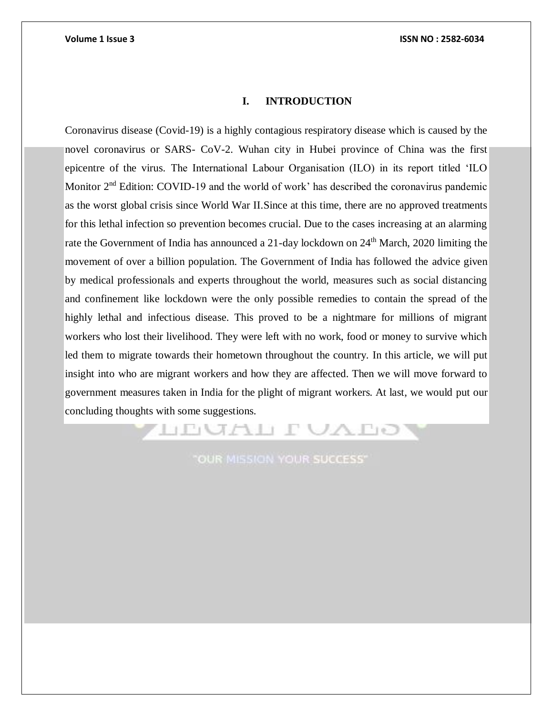# **I. INTRODUCTION**

Coronavirus disease (Covid-19) is a highly contagious respiratory disease which is caused by the novel coronavirus or SARS- CoV-2. Wuhan city in Hubei province of China was the first epicentre of the virus. The International Labour Organisation (ILO) in its report titled 'ILO Monitor  $2<sup>nd</sup>$  Edition: COVID-19 and the world of work' has described the coronavirus pandemic as the worst global crisis since World War II.Since at this time, there are no approved treatments for this lethal infection so prevention becomes crucial. Due to the cases increasing at an alarming rate the Government of India has announced a 21-day lockdown on 24<sup>th</sup> March, 2020 limiting the movement of over a billion population. The Government of India has followed the advice given by medical professionals and experts throughout the world, measures such as social distancing and confinement like lockdown were the only possible remedies to contain the spread of the highly lethal and infectious disease. This proved to be a nightmare for millions of migrant workers who lost their livelihood. They were left with no work, food or money to survive which led them to migrate towards their hometown throughout the country. In this article, we will put insight into who are migrant workers and how they are affected. Then we will move forward to government measures taken in India for the plight of migrant workers. At last, we would put our concluding thoughts with some suggestions.

"OUR MISSION YOUR SUCCESS"

LEUAL FUAI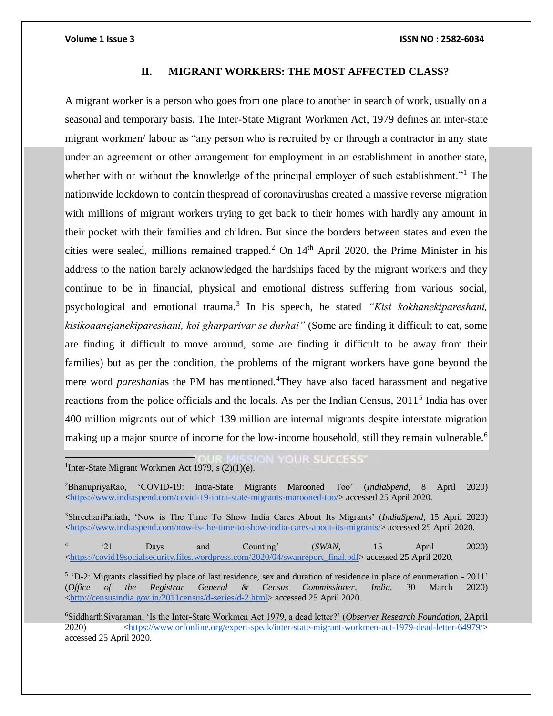# **II. MIGRANT WORKERS: THE MOST AFFECTED CLASS?**

A migrant worker is a person who goes from one place to another in search of work, usually on a seasonal and temporary basis. The Inter-State Migrant Workmen Act, 1979 defines an inter-state migrant workmen/ labour as "any person who is recruited by or through a contractor in any state under an agreement or other arrangement for employment in an establishment in another state, whether with or without the knowledge of the principal employer of such establishment."<sup>1</sup> The nationwide lockdown to contain thespread of coronavirushas created a massive reverse migration with millions of migrant workers trying to get back to their homes with hardly any amount in their pocket with their families and children. But since the borders between states and even the cities were sealed, millions remained trapped.<sup>2</sup> On  $14<sup>th</sup>$  April 2020, the Prime Minister in his address to the nation barely acknowledged the hardships faced by the migrant workers and they continue to be in financial, physical and emotional distress suffering from various social, psychological and emotional trauma.<sup>3</sup> In his speech, he stated *"Kisi kokhanekipareshani, kisikoaanejanekipareshani, koi gharparivar se durhai"* (Some are finding it difficult to eat, some are finding it difficult to move around, some are finding it difficult to be away from their families) but as per the condition, the problems of the migrant workers have gone beyond the mere word *pareshanias* the PM has mentioned.<sup>4</sup>They have also faced harassment and negative reactions from the police officials and the locals. As per the Indian Census, 2011<sup>5</sup> India has over 400 million migrants out of which 139 million are internal migrants despite interstate migration making up a major source of income for the low-income household, still they remain vulnerable.<sup>6</sup>

 $\overline{a}$ **JON YOUR SUCCESS\*** <sup>1</sup>Inter-State Migrant Workmen Act 1979, s  $(2)(1)(e)$ .

<sup>2</sup>BhanupriyaRao, 'COVID-19: Intra-State Migrants Marooned Too' (*IndiaSpend*, 8 April 2020) [<https://www.indiaspend.com/covid-19-intra-state-migrants-marooned-too/>](https://www.indiaspend.com/covid-19-intra-state-migrants-marooned-too/) accessed 25 April 2020.

<sup>3</sup>ShreehariPaliath, 'Now is The Time To Show India Cares About Its Migrants' (*IndiaSpend*, 15 April 2020) [<https://www.indiaspend.com/now-is-the-time-to-show-india-cares-about-its-migrants/>](https://www.indiaspend.com/now-is-the-time-to-show-india-cares-about-its-migrants/) accessed 25 April 2020.

4 '21 Days and Counting' (*SWAN,* 15 April 2020) [<https://covid19socialsecurity.files.wordpress.com/2020/04/swanreport\\_final.pdf>](https://covid19socialsecurity.files.wordpress.com/2020/04/swanreport_final.pdf) accessed 25 April 2020.

<sup>5</sup> 'D-2: Migrants classified by place of last residence, sex and duration of residence in place of enumeration - 2011' (*Office of the Registrar General & Census Commissioner*, *India*, 30 March 2020) [<http://censusindia.gov.in/2011census/d-series/d-2.html>](http://censusindia.gov.in/2011census/d-series/d-2.html) accessed 25 April 2020.

<sup>6</sup>SiddharthSivaraman, 'Is the Inter-State Workmen Act 1979, a dead letter?' (*Observer Research Foundation,* 2April 2020) [<https://www.orfonline.org/expert-speak/inter-state-migrant-workmen-act-1979-dead-letter-64979/>](https://www.orfonline.org/expert-speak/inter-state-migrant-workmen-act-1979-dead-letter-64979/) accessed 25 April 2020.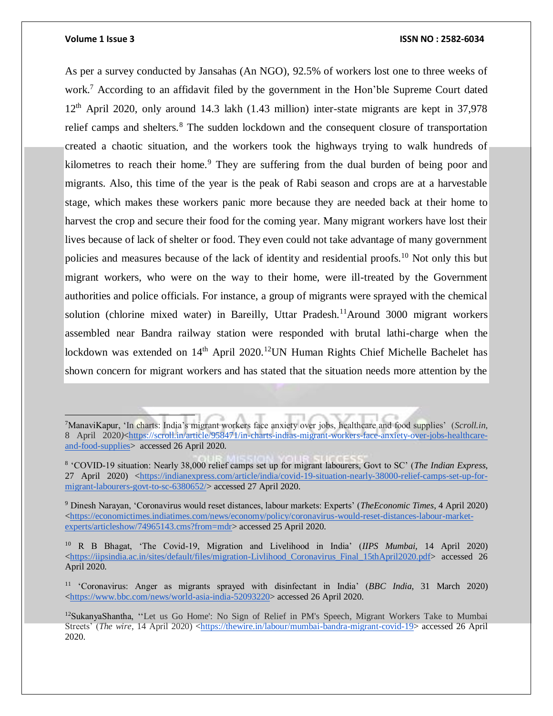### **Volume 1 Issue 3 ISSN NO : 2582-6034**

As per a survey conducted by Jansahas (An NGO), 92.5% of workers lost one to three weeks of work.<sup>7</sup> According to an affidavit filed by the government in the Hon'ble Supreme Court dated  $12<sup>th</sup>$  April 2020, only around 14.3 lakh (1.43 million) inter-state migrants are kept in 37,978 relief camps and shelters*.* <sup>8</sup> The sudden lockdown and the consequent closure of transportation created a chaotic situation, and the workers took the highways trying to walk hundreds of kilometres to reach their home.<sup>9</sup> They are suffering from the dual burden of being poor and migrants. Also, this time of the year is the peak of Rabi season and crops are at a harvestable stage, which makes these workers panic more because they are needed back at their home to harvest the crop and secure their food for the coming year. Many migrant workers have lost their lives because of lack of shelter or food. They even could not take advantage of many government policies and measures because of the lack of identity and residential proofs.<sup>10</sup> Not only this but migrant workers, who were on the way to their home, were ill-treated by the Government authorities and police officials. For instance, a group of migrants were sprayed with the chemical solution (chlorine mixed water) in Bareilly, Uttar Pradesh.<sup>11</sup>Around 3000 migrant workers assembled near Bandra railway station were responded with brutal lathi-charge when the lockdown was extended on  $14<sup>th</sup>$  April 2020.<sup>12</sup>UN Human Rights Chief Michelle Bachelet has shown concern for migrant workers and has stated that the situation needs more attention by the

<sup>10</sup> R B Bhagat, 'The Covid-19, Migration and Livelihood in India' (*IIPS Mumbai,* 14 April 2020) [<https://iipsindia.ac.in/sites/default/files/migration-Livlihood\\_Coronavirus\\_Final\\_15thApril2020.pdf>](https://iipsindia.ac.in/sites/default/files/migration-Livlihood_Coronavirus_Final_15thApril2020.pdf) accessed 26 April 2020.

<sup>7</sup>ManaviKapur, 'In charts: India's migrant workers face anxiety over jobs, healthcare and food supplies' (*Scroll.in*, 8 April 2020/[<https://scroll.in/article/958471/in-charts-indias-migrant-workers-face-anxiety-over-jobs-healthcare](https://scroll.in/article/958471/in-charts-indias-migrant-workers-face-anxiety-over-jobs-healthcare-and-food-supplies)[and-food-supplies>](https://scroll.in/article/958471/in-charts-indias-migrant-workers-face-anxiety-over-jobs-healthcare-and-food-supplies) accessed 26 April 2020.

<sup>8</sup> 'COVID-19 situation: Nearly 38,000 relief camps set up for migrant labourers, Govt to SC' (*The Indian Express*, 27 April 2020) [<https://indianexpress.com/article/india/covid-19-situation-nearly-38000-relief-camps-set-up-for](https://indianexpress.com/article/india/covid-19-situation-nearly-38000-relief-camps-set-up-for-migrant-labourers-govt-to-sc-6380652/)[migrant-labourers-govt-to-sc-6380652/>](https://indianexpress.com/article/india/covid-19-situation-nearly-38000-relief-camps-set-up-for-migrant-labourers-govt-to-sc-6380652/) accessed 27 April 2020.

<sup>9</sup> Dinesh Narayan, 'Coronavirus would reset distances, labour markets: Experts' (*TheEconomic Times*, 4 April 2020)  $\langle$ https://economictimes.indiatimes.com/news/economy/policy/coronavirus-would-reset-distances-labour-market[experts/articleshow/74965143.cms?from=mdr>](https://economictimes.indiatimes.com/news/economy/policy/coronavirus-would-reset-distances-labour-market-experts/articleshow/74965143.cms?from=mdr) accessed 25 April 2020.

<sup>11</sup> 'Coronavirus: Anger as migrants sprayed with disinfectant in India' (*BBC India*, 31 March 2020) [<https://www.bbc.com/news/world-asia-india-52093220>](https://www.bbc.com/news/world-asia-india-52093220) accessed 26 April 2020.

<sup>&</sup>lt;sup>12</sup>SukanyaShantha, "Let us Go Home': No Sign of Relief in PM's Speech, Migrant Workers Take to Mumbai Streets' (*The wire*, 14 April 2020) [<https://thewire.in/labour/mumbai-bandra-migrant-covid-19>](https://thewire.in/labour/mumbai-bandra-migrant-covid-19) accessed 26 April 2020.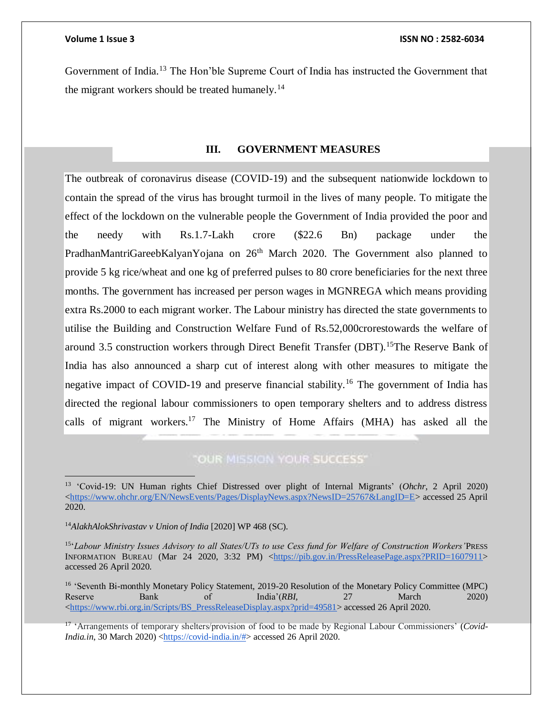Government of India.<sup>13</sup> The Hon'ble Supreme Court of India has instructed the Government that the migrant workers should be treated humanely.<sup>14</sup>

# **III. GOVERNMENT MEASURES**

The outbreak of coronavirus disease (COVID-19) and the subsequent nationwide lockdown to contain the spread of the virus has brought turmoil in the lives of many people. To mitigate the effect of the lockdown on the vulnerable people the Government of India provided the poor and the needy with Rs.1.7-Lakh crore (\$22.6 Bn) package under the PradhanMantriGareebKalyanYojana on 26<sup>th</sup> March 2020. The Government also planned to provide 5 kg rice/wheat and one kg of preferred pulses to 80 crore beneficiaries for the next three months. The government has increased per person wages in MGNREGA which means providing extra Rs.2000 to each migrant worker. The Labour ministry has directed the state governments to utilise the Building and Construction Welfare Fund of Rs.52,000crorestowards the welfare of around 3.5 construction workers through Direct Benefit Transfer (DBT).<sup>15</sup>The Reserve Bank of India has also announced a sharp cut of interest along with other measures to mitigate the negative impact of COVID-19 and preserve financial stability.<sup>16</sup> The government of India has directed the regional labour commissioners to open temporary shelters and to address distress calls of migrant workers.<sup>17</sup> The Ministry of Home Affairs (MHA) has asked all the

# **"OUR MISSION YOUR SUCCESS"**

<sup>16</sup> 'Seventh Bi-monthly Monetary Policy Statement, 2019-20 Resolution of the Monetary Policy Committee (MPC) Reserve Bank of India'(*RBI,* 27 March 2020) [<https://www.rbi.org.in/Scripts/BS\\_PressReleaseDisplay.aspx?prid=49581>](https://www.rbi.org.in/Scripts/BS_PressReleaseDisplay.aspx?prid=49581) accessed 26 April 2020.

17 'Arrangements of temporary shelters/provision of food to be made by Regional Labour Commissioners' (*Covid-India.in*, 30 March 2020) [<https://covid-india.in/#>](https://covid-india.in/) accessed 26 April 2020.

<sup>13</sup> 'Covid-19: UN Human rights Chief Distressed over plight of Internal Migrants' (*Ohchr*, 2 April 2020) [<https://www.ohchr.org/EN/NewsEvents/Pages/DisplayNews.aspx?NewsID=25767&LangID=E>](https://www.ohchr.org/EN/NewsEvents/Pages/DisplayNews.aspx?NewsID=25767&LangID=E) accessed 25 April 2020.

<sup>14</sup>*AlakhAlokShrivastav v Union of India* [2020] WP 468 (SC).

<sup>15</sup> '*Labour Ministry Issues Advisory to all States/UTs to use Cess fund for Welfare of Construction Workers'*PRESS INFORMATION BUREAU (Mar 24 2020, 3:32 PM) [<https://pib.gov.in/PressReleasePage.aspx?PRID=1607911>](https://pib.gov.in/PressReleasePage.aspx?PRID=1607911) accessed 26 April 2020.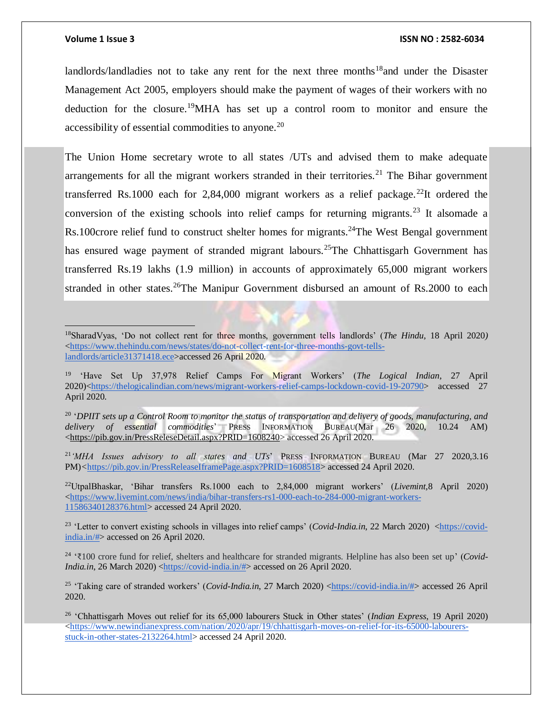### **Volume 1 Issue 3 ISSN NO : 2582-6034**

landlords/landladies not to take any rent for the next three months<sup>18</sup>and under the Disaster Management Act 2005, employers should make the payment of wages of their workers with no deduction for the closure.<sup>19</sup>MHA has set up a control room to monitor and ensure the accessibility of essential commodities to anyone.<sup>20</sup>

The Union Home secretary wrote to all states /UTs and advised them to make adequate arrangements for all the migrant workers stranded in their territories.<sup>21</sup> The Bihar government transferred Rs.1000 each for 2,84,000 migrant workers as a relief package.<sup>22</sup>It ordered the conversion of the existing schools into relief camps for returning migrants.<sup>23</sup> It alsomade a Rs.100crore relief fund to construct shelter homes for migrants.<sup>24</sup>The West Bengal government has ensured wage payment of stranded migrant labours.<sup>25</sup>The Chhattisgarh Government has transferred Rs.19 lakhs (1.9 million) in accounts of approximately 65,000 migrant workers stranded in other states.<sup>26</sup>The Manipur Government disbursed an amount of Rs.2000 to each

<sup>18</sup>SharadVyas, 'Do not collect rent for three months, government tells landlords' (*The Hindu,* 18 April 2020*)*  [<https://www.thehindu.com/news/states/do-not-collect-rent-for-three-months-govt-tells](https://www.thehindu.com/news/states/do-not-collect-rent-for-three-months-govt-tells-landlords/article31371418.ece)[landlords/article31371418.ece>](https://www.thehindu.com/news/states/do-not-collect-rent-for-three-months-govt-tells-landlords/article31371418.ece)accessed 26 April 2020.

20 '*DPIIT sets up a Control Room to monitor the status of transportation and delivery of goods, manufacturing, and delivery of essential commodities*' PRESS INFORMATION BUREAU(Mar 26 2020, 10.24 AM) [<https://pib.gov.in/PressReleseDetail.aspx?PRID=1608240>](https://pib.gov.in/PressReleseDetail.aspx?PRID=1608240) accessed 26 April 2020.

<sup>21</sup>*'MHA Issues advisory to all states and UTs*' PRESS INFORMATION BUREAU (Mar 27 2020,3.16 PM)*<*[https://pib.gov.in/PressReleaseIframePage.aspx?PRID=1608518>](https://pib.gov.in/PressReleaseIframePage.aspx?PRID=1608518) accessed 24 April 2020.

<sup>22</sup>UtpalBhaskar, 'Bihar transfers Rs.1000 each to 2,84,000 migrant workers' (*Livemint,*8 April 2020)  $\langle$ https://www.livemint.com/news/india/bihar-transfers-rs1-000-each-to-284-000-migrant-workers-[11586340128376.html>](https://www.livemint.com/news/india/bihar-transfers-rs1-000-each-to-284-000-migrant-workers-11586340128376.html) accessed 24 April 2020.

<sup>23</sup> 'Letter to convert existing schools in villages into relief camps' (*Covid-India.in*, 22 March 2020) [<https://covid](https://covid-india.in/)[india.in/#>](https://covid-india.in/) accessed on 26 April 2020.

24 '₹100 crore fund for relief, shelters and healthcare for stranded migrants. Helpline has also been set up' (*Covid-India.in*, 26 March 2020) [<https://covid-india.in/#>](https://covid-india.in/) accessed on 26 April 2020.

<sup>25</sup> 'Taking care of stranded workers' (*Covid-India.in*, 27 March 2020) [<https://covid-india.in/#>](https://covid-india.in/) accessed 26 April 2020.

<sup>26</sup> 'Chhattisgarh Moves out relief for its 65,000 labourers Stuck in Other states' (*Indian Express*, 19 April 2020)  $\langle$ https://www.newindianexpress.com/nation/2020/apr/19/chhattisgarh-moves-on-relief-for-its-65000-labourers[stuck-in-other-states-2132264.html>](https://www.newindianexpress.com/nation/2020/apr/19/chhattisgarh-moves-on-relief-for-its-65000-labourers-stuck-in-other-states-2132264.html) accessed 24 April 2020.

<sup>19</sup> 'Have Set Up 37,978 Relief Camps For Migrant Workers' (*The Logical Indian*, 27 April 2020)[<https://thelogicalindian.com/news/migrant-workers-relief-camps-lockdown-covid-19-20790>](https://thelogicalindian.com/news/migrant-workers-relief-camps-lockdown-covid-19-20790) accessed 27 April 2020.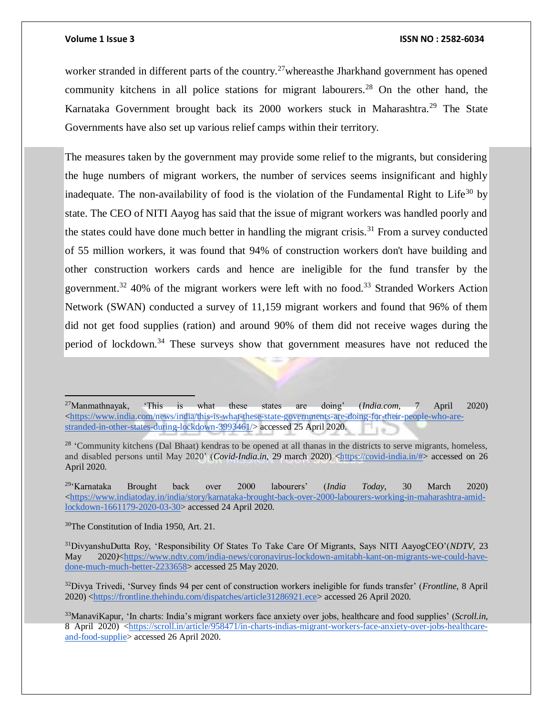worker stranded in different parts of the country.<sup>27</sup>whereasthe Jharkhand government has opened community kitchens in all police stations for migrant labourers.<sup>28</sup> On the other hand, the Karnataka Government brought back its 2000 workers stuck in Maharashtra.<sup>29</sup> The State Governments have also set up various relief camps within their territory.

The measures taken by the government may provide some relief to the migrants, but considering the huge numbers of migrant workers, the number of services seems insignificant and highly inadequate. The non-availability of food is the violation of the Fundamental Right to Life<sup>30</sup> by state. The CEO of NITI Aayog has said that the issue of migrant workers was handled poorly and the states could have done much better in handling the migrant crisis.<sup>31</sup> From a survey conducted of 55 million workers, it was found that 94% of construction workers don't have building and other construction workers cards and hence are ineligible for the fund transfer by the government.<sup>32</sup> 40% of the migrant workers were left with no food.<sup>33</sup> Stranded Workers Action Network (SWAN) conducted a survey of 11,159 migrant workers and found that 96% of them did not get food supplies (ration) and around 90% of them did not receive wages during the period of lockdown.<sup>34</sup> These surveys show that government measures have not reduced the

<sup>29</sup>'Karnataka Brought back over 2000 labourers' (*India Today*, 30 March 2020)  $\langle$ https://www.indiatoday.in/india/story/karnataka-brought-back-over-2000-labourers-working-in-maharashtra-amid[lockdown-1661179-2020-03-30>](https://www.indiatoday.in/india/story/karnataka-brought-back-over-2000-labourers-working-in-maharashtra-amid-lockdown-1661179-2020-03-30) accessed 24 April 2020.

<sup>30</sup>The Constitution of India 1950, Art. 21.

 $\overline{a}$ 

<sup>27</sup>Manmathnayak, 'This is what these states are doing' (*India.com*, 7 April 2020) [<https://www.india.com/news/india/this-is-what-these-state-governments-are-doing-for-their-people-who-are](https://www.india.com/news/india/this-is-what-these-state-governments-are-doing-for-their-people-who-are-stranded-in-other-states-during-lockdown-3993461/)[stranded-in-other-states-during-lockdown-3993461/>](https://www.india.com/news/india/this-is-what-these-state-governments-are-doing-for-their-people-who-are-stranded-in-other-states-during-lockdown-3993461/) accessed 25 April 2020.

 $28$  'Community kitchens (Dal Bhaat) kendras to be opened at all thanas in the districts to serve migrants, homeless, and disabled persons until May 2020' (*Covid-India.in*, 29 march 2020) [<https://covid-india.in/#>](https://covid-india.in/) accessed on 26 April 2020.

<sup>31</sup>DivyanshuDutta Roy, 'Responsibility Of States To Take Care Of Migrants, Says NITI AayogCEO'(*NDTV,* 23 May 2020/[<https://www.ndtv.com/india-news/coronavirus-lockdown-amitabh-kant-on-migrants-we-could-have](https://www.ndtv.com/india-news/coronavirus-lockdown-amitabh-kant-on-migrants-we-could-have-done-much-much-better-2233658)[done-much-much-better-2233658>](https://www.ndtv.com/india-news/coronavirus-lockdown-amitabh-kant-on-migrants-we-could-have-done-much-much-better-2233658) accessed 25 May 2020.

<sup>32</sup>Divya Trivedi, 'Survey finds 94 per cent of construction workers ineligible for funds transfer' (*Frontline*, 8 April 2020) [<https://frontline.thehindu.com/dispatches/article31286921.ece>](https://frontline.thehindu.com/dispatches/article31286921.ece) accessed 26 April 2020.

<sup>33</sup>ManaviKapur, 'In charts: India's migrant workers face anxiety over jobs, healthcare and food supplies' (*Scroll.in*, 8 April 2020) [<https://scroll.in/article/958471/in-charts-indias-migrant-workers-face-anxiety-over-jobs-healthcare](https://scroll.in/article/958471/in-charts-indias-migrant-workers-face-anxiety-over-jobs-healthcare-and-food-supplies)[and-food-supplie>](https://scroll.in/article/958471/in-charts-indias-migrant-workers-face-anxiety-over-jobs-healthcare-and-food-supplies) accessed 26 April 2020.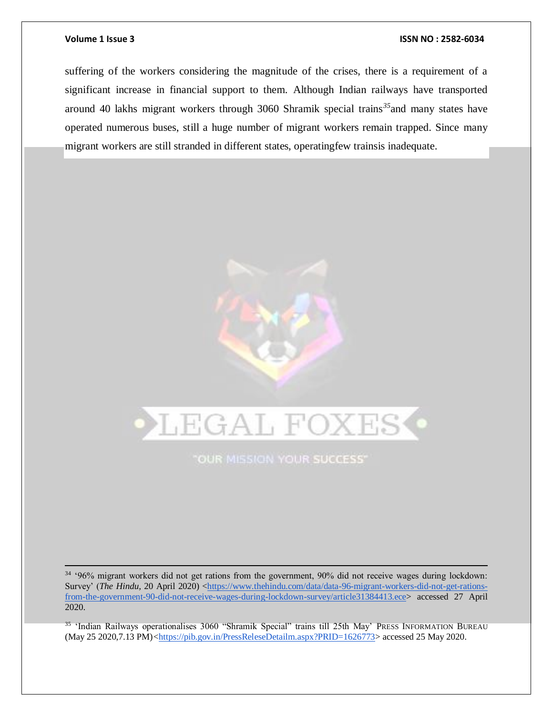### **Volume 1 Issue 3 ISSN NO : 2582-6034**

suffering of the workers considering the magnitude of the crises, there is a requirement of a significant increase in financial support to them. Although Indian railways have transported around 40 lakhs migrant workers through 3060 Shramik special trains*<sup>35</sup>*and many states have operated numerous buses, still a huge number of migrant workers remain trapped. Since many migrant workers are still stranded in different states, operatingfew trainsis inadequate.



**"OUR MISSION YOUR SUCCESS"** 

<sup>34</sup> '96% migrant workers did not get rations from the government, 90% did not receive wages during lockdown: Survey' (*The Hindu*, 20 April 2020) [<https://www.thehindu.com/data/data-96-migrant-workers-did-not-get-rations](https://www.thehindu.com/data/data-96-migrant-workers-did-not-get-rations-from-the-government-90-did-not-receive-wages-during-lockdown-survey/article31384413.ece)[from-the-government-90-did-not-receive-wages-during-lockdown-survey/article31384413.ece>](https://www.thehindu.com/data/data-96-migrant-workers-did-not-get-rations-from-the-government-90-did-not-receive-wages-during-lockdown-survey/article31384413.ece) accessed 27 April 2020.

35 'Indian Railways operationalises 3060 "Shramik Special" trains till 25th May' PRESS INFORMATION BUREAU (May 25 2020,7.13 PM)*<*[https://pib.gov.in/PressReleseDetailm.aspx?PRID=1626773>](https://pib.gov.in/PressReleseDetailm.aspx?PRID=1626773) accessed 25 May 2020.